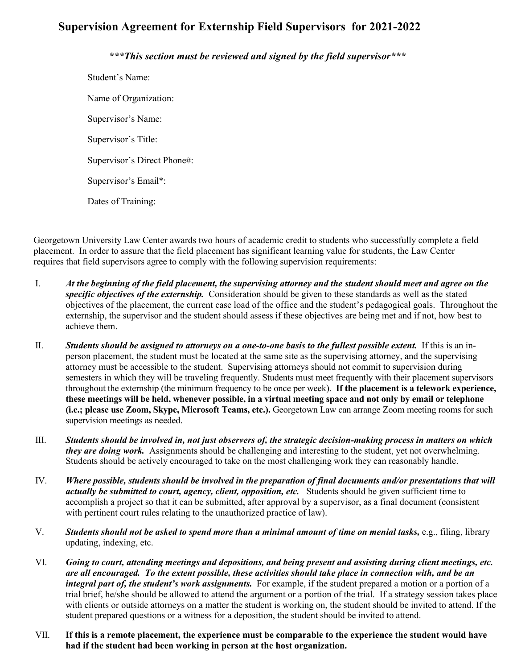## **Supervision Agreement for Externship Field Supervisors for 2021-2022**

## *\*\*\*This section must be reviewed and signed by the field supervisor\*\*\**

Student's Name: Name of Organization: Supervisor's Name: Supervisor's Title: Supervisor's Direct Phone#: Supervisor's Email\*: Dates of Training:

Georgetown University Law Center awards two hours of academic credit to students who successfully complete a field placement. In order to assure that the field placement has significant learning value for students, the Law Center requires that field supervisors agree to comply with the following supervision requirements:

- I. *At the beginning of the field placement, the supervising attorney and the student should meet and agree on the specific objectives of the externship.* Consideration should be given to these standards as well as the stated objectives of the placement, the current case load of the office and the student's pedagogical goals. Throughout the externship, the supervisor and the student should assess if these objectives are being met and if not, how best to achieve them.
- II. *Students should be assigned to attorneys on a one-to-one basis to the fullest possible extent.* If this is an inperson placement, the student must be located at the same site as the supervising attorney, and the supervising attorney must be accessible to the student. Supervising attorneys should not commit to supervision during semesters in which they will be traveling frequently. Students must meet frequently with their placement supervisors throughout the externship (the minimum frequency to be once per week). **If the placement is a telework experience, these meetings will be held, whenever possible, in a virtual meeting space and not only by email or telephone (i.e.; please use Zoom, Skype, Microsoft Teams, etc.).** Georgetown Law can arrange Zoom meeting rooms for such supervision meetings as needed.
- III. *Students should be involved in, not just observers of, the strategic decision-making process in matters on which they are doing work.* Assignments should be challenging and interesting to the student, yet not overwhelming. Students should be actively encouraged to take on the most challenging work they can reasonably handle.
- IV. *Where possible, students should be involved in the preparation of final documents and/or presentations that will actually be submitted to court, agency, client, opposition, etc.* Students should be given sufficient time to accomplish a project so that it can be submitted, after approval by a supervisor, as a final document (consistent with pertinent court rules relating to the unauthorized practice of law).
- V. **Students should not be asked to spend more than a minimal amount of time on menial tasks, e.g., filing, library** updating, indexing, etc.
- VI. *Going to court, attending meetings and depositions, and being present and assisting during client meetings, etc. are all encouraged. To the extent possible, these activities should take place in connection with, and be an integral part of, the student's work assignments.* For example, if the student prepared a motion or a portion of a trial brief, he/she should be allowed to attend the argument or a portion of the trial. If a strategy session takes place with clients or outside attorneys on a matter the student is working on, the student should be invited to attend. If the student prepared questions or a witness for a deposition, the student should be invited to attend.
- VII. **If this is a remote placement, the experience must be comparable to the experience the student would have had if the student had been working in person at the host organization.**